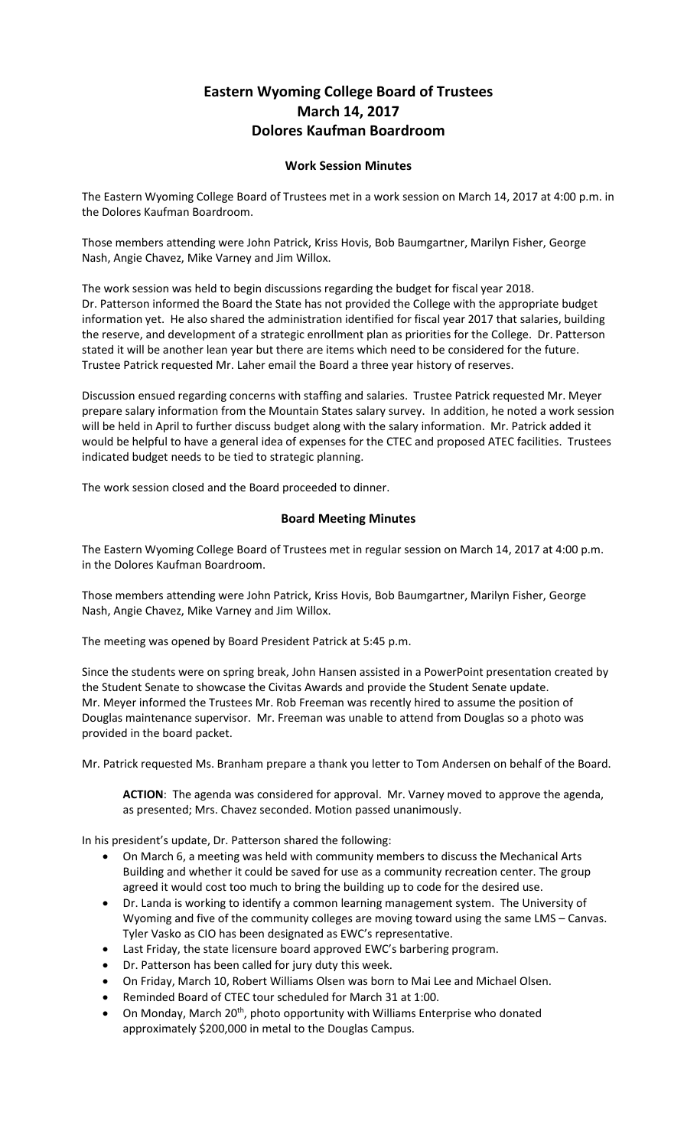## **Eastern Wyoming College Board of Trustees March 14, 2017 Dolores Kaufman Boardroom**

## **Work Session Minutes**

The Eastern Wyoming College Board of Trustees met in a work session on March 14, 2017 at 4:00 p.m. in the Dolores Kaufman Boardroom.

Those members attending were John Patrick, Kriss Hovis, Bob Baumgartner, Marilyn Fisher, George Nash, Angie Chavez, Mike Varney and Jim Willox.

The work session was held to begin discussions regarding the budget for fiscal year 2018. Dr. Patterson informed the Board the State has not provided the College with the appropriate budget information yet. He also shared the administration identified for fiscal year 2017 that salaries, building the reserve, and development of a strategic enrollment plan as priorities for the College. Dr. Patterson stated it will be another lean year but there are items which need to be considered for the future. Trustee Patrick requested Mr. Laher email the Board a three year history of reserves.

Discussion ensued regarding concerns with staffing and salaries. Trustee Patrick requested Mr. Meyer prepare salary information from the Mountain States salary survey. In addition, he noted a work session will be held in April to further discuss budget along with the salary information. Mr. Patrick added it would be helpful to have a general idea of expenses for the CTEC and proposed ATEC facilities. Trustees indicated budget needs to be tied to strategic planning.

The work session closed and the Board proceeded to dinner.

## **Board Meeting Minutes**

The Eastern Wyoming College Board of Trustees met in regular session on March 14, 2017 at 4:00 p.m. in the Dolores Kaufman Boardroom.

Those members attending were John Patrick, Kriss Hovis, Bob Baumgartner, Marilyn Fisher, George Nash, Angie Chavez, Mike Varney and Jim Willox.

The meeting was opened by Board President Patrick at 5:45 p.m.

Since the students were on spring break, John Hansen assisted in a PowerPoint presentation created by the Student Senate to showcase the Civitas Awards and provide the Student Senate update. Mr. Meyer informed the Trustees Mr. Rob Freeman was recently hired to assume the position of Douglas maintenance supervisor. Mr. Freeman was unable to attend from Douglas so a photo was provided in the board packet.

Mr. Patrick requested Ms. Branham prepare a thank you letter to Tom Andersen on behalf of the Board.

**ACTION**: The agenda was considered for approval. Mr. Varney moved to approve the agenda, as presented; Mrs. Chavez seconded. Motion passed unanimously.

In his president's update, Dr. Patterson shared the following:

- On March 6, a meeting was held with community members to discuss the Mechanical Arts Building and whether it could be saved for use as a community recreation center. The group agreed it would cost too much to bring the building up to code for the desired use.
- Dr. Landa is working to identify a common learning management system. The University of Wyoming and five of the community colleges are moving toward using the same LMS – Canvas. Tyler Vasko as CIO has been designated as EWC's representative.
- Last Friday, the state licensure board approved EWC's barbering program.
- Dr. Patterson has been called for jury duty this week.
- On Friday, March 10, Robert Williams Olsen was born to Mai Lee and Michael Olsen.
- Reminded Board of CTEC tour scheduled for March 31 at 1:00.
- On Monday, March 20<sup>th</sup>, photo opportunity with Williams Enterprise who donated approximately \$200,000 in metal to the Douglas Campus.